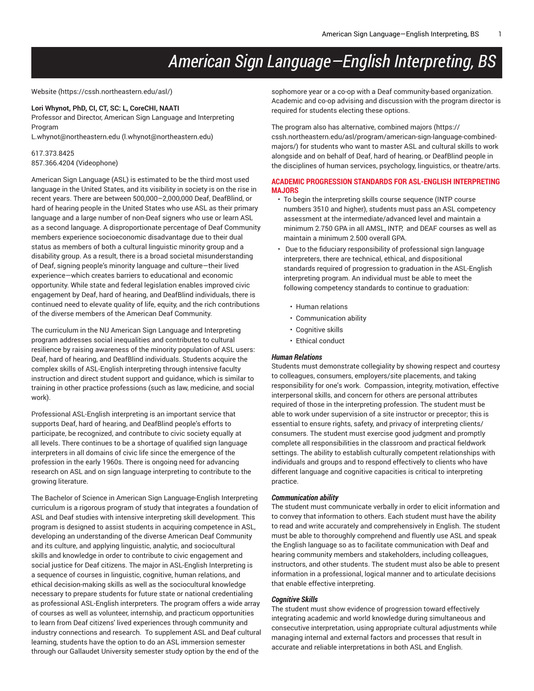# *American Sign Language—English Interpreting, BS*

[Website](https://cssh.northeastern.edu/asl/) (<https://cssh.northeastern.edu/asl/>)

#### **Lori Whynot, PhD, CI, CT, SC: L, CoreCHI, NAATI**

Professor and Director, American Sign Language and Interpreting Program

[L.whynot@northeastern.edu](mailto:l.whynot@northeastern.edu) [\(l.whynot@northeastern.edu\)](l.whynot@northeastern.edu)

## 617.373.8425 857.366.4204 (Videophone)

American Sign Language (ASL) is estimated to be the third most used language in the United States, and its visibility in society is on the rise in recent years. There are between 500,000–2,000,000 Deaf, DeafBlind, or hard of hearing people in the United States who use ASL as their primary language and a large number of non-Deaf signers who use or learn ASL as a second language. A disproportionate percentage of Deaf Community members experience socioeconomic disadvantage due to their dual status as members of both a cultural linguistic minority group and a disability group. As a result, there is a broad societal misunderstanding of Deaf, signing people's minority language and culture—their lived experience—which creates barriers to educational and economic opportunity. While state and federal legislation enables improved civic engagement by Deaf, hard of hearing, and DeafBlind individuals, there is continued need to elevate quality of life, equity, and the rich contributions of the diverse members of the American Deaf Community.

The curriculum in the NU American Sign Language and Interpreting program addresses social inequalities and contributes to cultural resilience by raising awareness of the minority population of ASL users: Deaf, hard of hearing, and DeafBlind individuals. Students acquire the complex skills of ASL-English interpreting through intensive faculty instruction and direct student support and guidance, which is similar to training in other practice professions (such as law, medicine, and social work).

Professional ASL-English interpreting is an important service that supports Deaf, hard of hearing, and DeafBlind people's efforts to participate, be recognized, and contribute to civic society equally at all levels. There continues to be a shortage of qualified sign language interpreters in all domains of civic life since the emergence of the profession in the early 1960s. There is ongoing need for advancing research on ASL and on sign language interpreting to contribute to the growing literature.

The Bachelor of Science in American Sign Language-English Interpreting curriculum is a rigorous program of study that integrates a foundation of ASL and Deaf studies with intensive interpreting skill development. This program is designed to assist students in acquiring competence in ASL, developing an understanding of the diverse American Deaf Community and its culture, and applying linguistic, analytic, and sociocultural skills and knowledge in order to contribute to civic engagement and social justice for Deaf citizens. The major in ASL-English Interpreting is a sequence of courses in linguistic, cognitive, human relations, and ethical decision-making skills as well as the sociocultural knowledge necessary to prepare students for future state or national credentialing as professional ASL-English interpreters. The program offers a wide array of courses as well as volunteer, internship, and practicum opportunities to learn from Deaf citizens' lived experiences through community and industry connections and research. To supplement ASL and Deaf cultural learning, students have the option to do an ASL immersion semester through our Gallaudet University semester study option by the end of the

sophomore year or a co-op with a Deaf community-based organization. Academic and co-op advising and discussion with the program director is required for students electing these options.

The program also has alternative, [combined majors \(https://](https://cssh.northeastern.edu/asl/program/american-sign-language-combined-majors/) [cssh.northeastern.edu/asl/program/american-sign-language-combined](https://cssh.northeastern.edu/asl/program/american-sign-language-combined-majors/)[majors/\)](https://cssh.northeastern.edu/asl/program/american-sign-language-combined-majors/) for students who want to master ASL and cultural skills to work alongside and on behalf of Deaf, hard of hearing, or DeafBlind people in the disciplines of human services, psychology, linguistics, or theatre/arts.

## **ACADEMIC PROGRESSION STANDARDS FOR ASL-ENGLISH INTERPRETING MAJORS**

- To begin the interpreting skills course sequence (INTP course numbers 3510 and higher), students must pass an ASL competency assessment at the intermediate/advanced level and maintain a minimum 2.750 GPA in all AMSL, INTP, and DEAF courses as well as maintain a minimum 2.500 overall GPA.
- Due to the fiduciary responsibility of professional sign language interpreters, there are technical, ethical, and dispositional standards required of progression to graduation in the ASL-English interpreting program. An individual must be able to meet the following competency standards to continue to graduation:
	- Human relations
	- Communication ability
	- Cognitive skills
	- Ethical conduct

#### *Human Relations*

Students must demonstrate collegiality by showing respect and courtesy to colleagues, consumers, employers/site placements, and taking responsibility for one's work. Compassion, integrity, motivation, effective interpersonal skills, and concern for others are personal attributes required of those in the interpreting profession. The student must be able to work under supervision of a site instructor or preceptor; this is essential to ensure rights, safety, and privacy of interpreting clients/ consumers. The student must exercise good judgment and promptly complete all responsibilities in the classroom and practical fieldwork settings. The ability to establish culturally competent relationships with individuals and groups and to respond effectively to clients who have different language and cognitive capacities is critical to interpreting practice.

## *Communication ability*

The student must communicate verbally in order to elicit information and to convey that information to others. Each student must have the ability to read and write accurately and comprehensively in English. The student must be able to thoroughly comprehend and fluently use ASL and speak the English language so as to facilitate communication with Deaf and hearing community members and stakeholders, including colleagues, instructors, and other students. The student must also be able to present information in a professional, logical manner and to articulate decisions that enable effective interpreting.

#### *Cognitive Skills*

The student must show evidence of progression toward effectively integrating academic and world knowledge during simultaneous and consecutive interpretation, using appropriate cultural adjustments while managing internal and external factors and processes that result in accurate and reliable interpretations in both ASL and English.